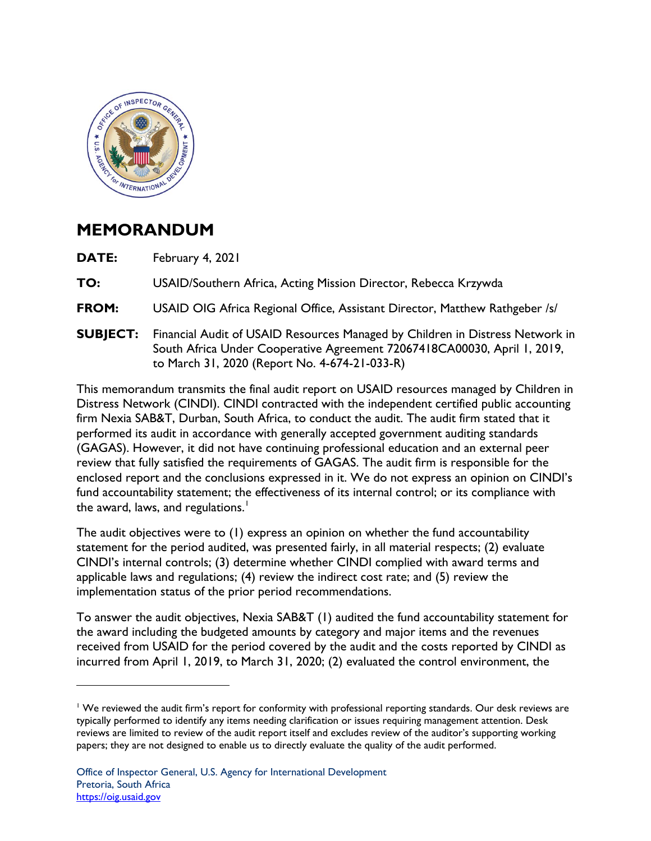

## **MEMORANDUM**

**DATE:** February 4, 2021

**TO:** USAID/Southern Africa, Acting Mission Director, Rebecca Krzywda

**FROM:** USAID OIG Africa Regional Office, Assistant Director, Matthew Rathgeber /s/

**SUBJECT:** Financial Audit of USAID Resources Managed by Children in Distress Network in South Africa Under Cooperative Agreement 72067418CA00030, April 1, 2019, to March 31, 2020 (Report No. 4-674-21-033-R)

This memorandum transmits the final audit report on USAID resources managed by Children in Distress Network (CINDI). CINDI contracted with the independent certified public accounting firm Nexia SAB&T, Durban, South Africa, to conduct the audit. The audit firm stated that it performed its audit in accordance with generally accepted government auditing standards (GAGAS). However, it did not have continuing professional education and an external peer review that fully satisfied the requirements of GAGAS. The audit firm is responsible for the enclosed report and the conclusions expressed in it. We do not express an opinion on CINDI's fund accountability statement; the effectiveness of its internal control; or its compliance with the award, laws, and regulations.<sup>[1](#page-0-0)</sup>

The audit objectives were to (1) express an opinion on whether the fund accountability statement for the period audited, was presented fairly, in all material respects; (2) evaluate CINDI's internal controls; (3) determine whether CINDI complied with award terms and applicable laws and regulations; (4) review the indirect cost rate; and (5) review the implementation status of the prior period recommendations.

To answer the audit objectives, Nexia SAB&T (1) audited the fund accountability statement for the award including the budgeted amounts by category and major items and the revenues received from USAID for the period covered by the audit and the costs reported by CINDI as incurred from April 1, 2019, to March 31, 2020; (2) evaluated the control environment, the

<span id="page-0-0"></span><sup>&</sup>lt;sup>1</sup> We reviewed the audit firm's report for conformity with professional reporting standards. Our desk reviews are typically performed to identify any items needing clarification or issues requiring management attention. Desk reviews are limited to review of the audit report itself and excludes review of the auditor's supporting working papers; they are not designed to enable us to directly evaluate the quality of the audit performed.